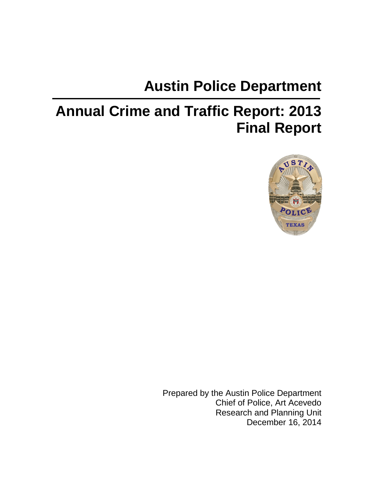# **Austin Police Department**

# **Annual Crime and Traffic Report: 2013 Final Report**



Prepared by the Austin Police Department Chief of Police, Art Acevedo Research and Planning Unit December 16, 2014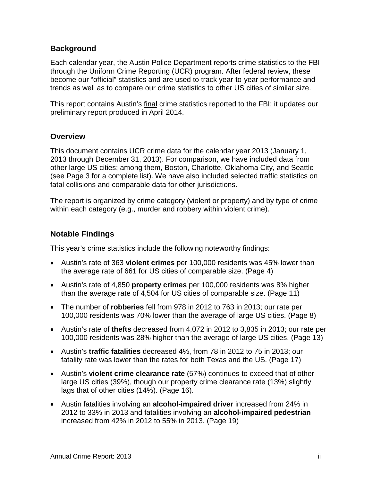#### **Background**

Each calendar year, the Austin Police Department reports crime statistics to the FBI through the Uniform Crime Reporting (UCR) program. After federal review, these become our "official" statistics and are used to track year-to-year performance and trends as well as to compare our crime statistics to other US cities of similar size.

This report contains Austin's final crime statistics reported to the FBI; it updates our preliminary report produced in April 2014.

#### **Overview**

This document contains UCR crime data for the calendar year 2013 (January 1, 2013 through December 31, 2013). For comparison, we have included data from other large US cities; among them, Boston, Charlotte, Oklahoma City, and Seattle (see Page 3 for a complete list). We have also included selected traffic statistics on fatal collisions and comparable data for other jurisdictions.

The report is organized by crime category (violent or property) and by type of crime within each category (e.g., murder and robbery within violent crime).

#### **Notable Findings**

This year's crime statistics include the following noteworthy findings:

- Austin's rate of 363 **violent crimes** per 100,000 residents was 45% lower than the average rate of 661 for US cities of comparable size. (Page 4)
- Austin's rate of 4,850 **property crimes** per 100,000 residents was 8% higher than the average rate of 4,504 for US cities of comparable size. (Page 11)
- The number of **robberies** fell from 978 in 2012 to 763 in 2013; our rate per 100,000 residents was 70% lower than the average of large US cities. (Page 8)
- Austin's rate of **thefts** decreased from 4,072 in 2012 to 3,835 in 2013; our rate per 100,000 residents was 28% higher than the average of large US cities. (Page 13)
- Austin's **traffic fatalities** decreased 4%, from 78 in 2012 to 75 in 2013; our fatality rate was lower than the rates for both Texas and the US. (Page 17)
- Austin's **violent crime clearance rate** (57%) continues to exceed that of other large US cities (39%), though our property crime clearance rate (13%) slightly lags that of other cities (14%). (Page 16).
- Austin fatalities involving an **alcohol-impaired driver** increased from 24% in 2012 to 33% in 2013 and fatalities involving an **alcohol-impaired pedestrian**  increased from 42% in 2012 to 55% in 2013. (Page 19)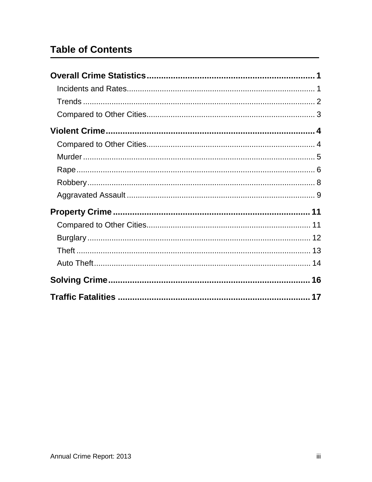# **Table of Contents**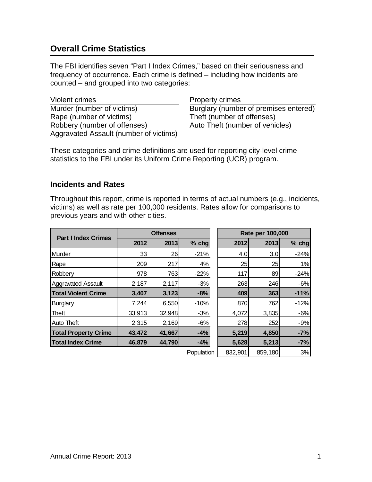# <span id="page-3-0"></span>**Overall Crime Statistics**

The FBI identifies seven "Part I Index Crimes," based on their seriousness and frequency of occurrence. Each crime is defined – including how incidents are counted – and grouped into two categories:

Violent crimes **Property crimes** Murder (number of victims) Burglary (number of premises entered) Rape (number of victims) Theft (number of offenses) Robbery (number of offenses) Auto Theft (number of vehicles) Aggravated Assault (number of victims)

These categories and crime definitions are used for reporting city-level crime statistics to the FBI under its Uniform Crime Reporting (UCR) program.

#### <span id="page-3-1"></span>**Incidents and Rates**

Throughout this report, crime is reported in terms of actual numbers (e.g., incidents, victims) as well as rate per 100,000 residents. Rates allow for comparisons to previous years and with other cities.

| <b>Part I Index Crimes</b>  | <b>Offenses</b> |        |            | Rate per 100,000 |         |         |
|-----------------------------|-----------------|--------|------------|------------------|---------|---------|
|                             | 2012            | 2013   | $%$ chg    | 2012             | 2013    | $%$ chg |
| Murder                      | 33              | 26     | $-21%$     | 4.0              | 3.0     | $-24%$  |
| Rape                        | 209             | 217    | 4%         | 25               | 25      | 1%      |
| Robbery                     | 978             | 763    | $-22%$     | 117              | 89      | $-24%$  |
| <b>Aggravated Assault</b>   | 2,187           | 2,117  | $-3%$      | 263              | 246     | $-6%$   |
| <b>Total Violent Crime</b>  | 3,407           | 3,123  | $-8%$      | 409              | 363     | $-11%$  |
| <b>Burglary</b>             | 7,244           | 6,550  | $-10%$     | 870              | 762     | $-12%$  |
| Theft                       | 33,913          | 32,948 | $-3%$      | 4,072            | 3,835   | $-6%$   |
| Auto Theft                  | 2,315           | 2,169  | $-6%$      | 278              | 252     | $-9%$   |
| <b>Total Property Crime</b> | 43,472          | 41,667 | $-4%$      | 5,219            | 4,850   | $-7%$   |
| <b>Total Index Crime</b>    | 46,879          | 44,790 | $-4%$      | 5,628            | 5,213   | $-7%$   |
|                             |                 |        | Population | 832,901          | 859,180 | 3%      |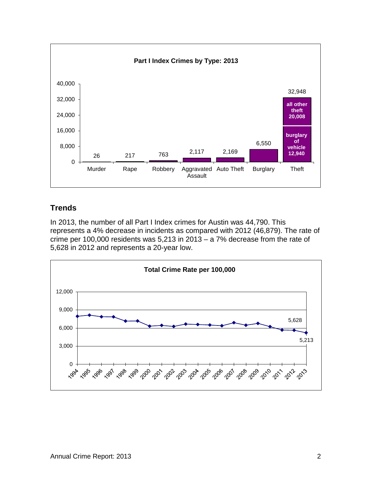

# <span id="page-4-0"></span>**Trends**

In 2013, the number of all Part I Index crimes for Austin was 44,790. This represents a 4% decrease in incidents as compared with 2012 (46,879). The rate of crime per 100,000 residents was 5,213 in 2013 – a 7% decrease from the rate of 5,628 in 2012 and represents a 20-year low.

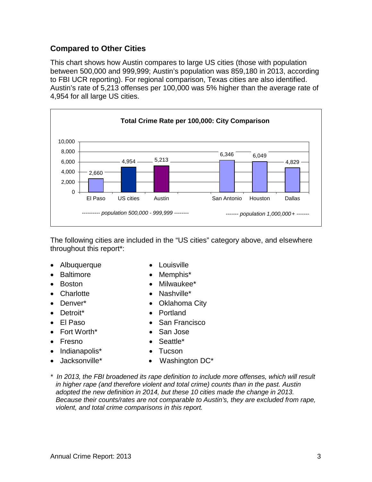#### <span id="page-5-0"></span>**Compared to Other Cities**

This chart shows how Austin compares to large US cities (those with population between 500,000 and 999,999; Austin's population was 859,180 in 2013, according to FBI UCR reporting). For regional comparison, Texas cities are also identified. Austin's rate of 5,213 offenses per 100,000 was 5% higher than the average rate of 4,954 for all large US cities.



The following cities are included in the "US cities" category above, and elsewhere throughout this report\*:

- Albuquerque Louisville
	-
- Baltimore Memphis\*
	- Boston Milwaukee\*
	- Charlotte Nashville\*
	- Denver\* Oklahoma City
	- Detroit\* Portland
- El Paso San Francisco
	- Fort Worth\* San Jose
	- Fresno Seattle\*
	- Indianapolis<sup>\*</sup> Tucson
	- Jacksonville\* Washington DC\*
- *\* In 2013, the FBI broadened its rape definition to include more offenses, which will result in higher rape (and therefore violent and total crime) counts than in the past. Austin adopted the new definition in 2014, but these 10 cities made the change in 2013. Because their counts/rates are not comparable to Austin's, they are excluded from rape, violent, and total crime comparisons in this report.*
- <span id="page-5-1"></span>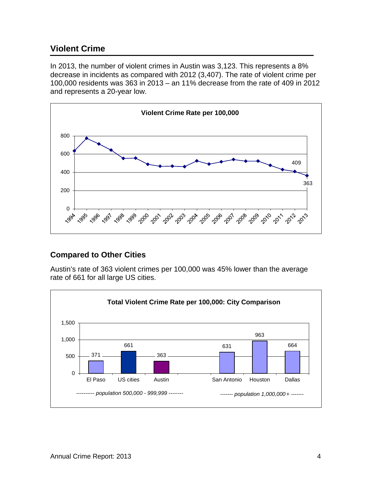# **Violent Crime**

In 2013, the number of violent crimes in Austin was 3,123. This represents a 8% decrease in incidents as compared with 2012 (3,407). The rate of violent crime per 100,000 residents was 363 in 2013 – an 11% decrease from the rate of 409 in 2012 and represents a 20-year low.



#### <span id="page-6-0"></span>**Compared to Other Cities**

Austin's rate of 363 violent crimes per 100,000 was 45% lower than the average rate of 661 for all large US cities.

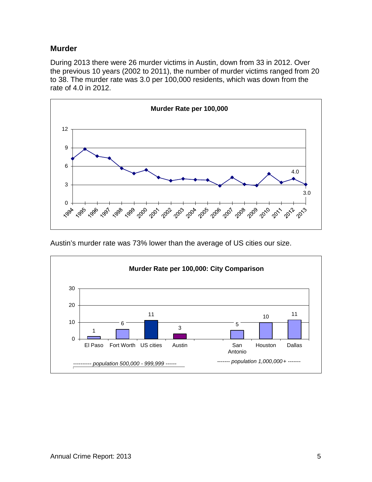#### <span id="page-7-0"></span>**Murder**

During 2013 there were 26 murder victims in Austin, down from 33 in 2012. Over the previous 10 years (2002 to 2011), the number of murder victims ranged from 20 to 38. The murder rate was 3.0 per 100,000 residents, which was down from the rate of 4.0 in 2012.



Austin's murder rate was 73% lower than the average of US cities our size.

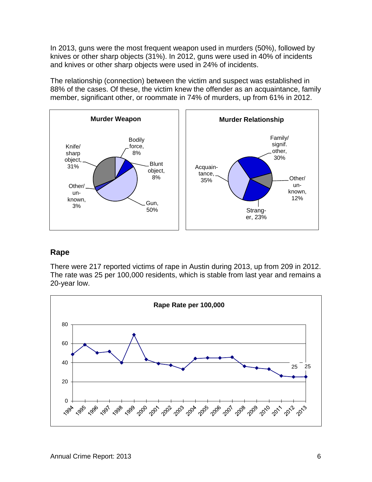In 2013, guns were the most frequent weapon used in murders (50%), followed by knives or other sharp objects (31%). In 2012, guns were used in 40% of incidents and knives or other sharp objects were used in 24% of incidents.

The relationship (connection) between the victim and suspect was established in 88% of the cases. Of these, the victim knew the offender as an acquaintance, family member, significant other, or roommate in 74% of murders, up from 61% in 2012.



#### <span id="page-8-0"></span>**Rape**

There were 217 reported victims of rape in Austin during 2013, up from 209 in 2012. The rate was 25 per 100,000 residents, which is stable from last year and remains a 20-year low.

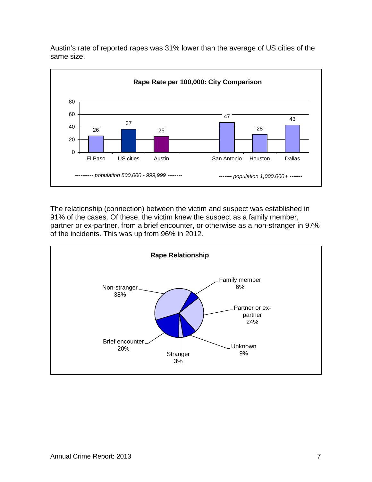Austin's rate of reported rapes was 31% lower than the average of US cities of the same size.



The relationship (connection) between the victim and suspect was established in 91% of the cases. Of these, the victim knew the suspect as a family member, partner or ex-partner, from a brief encounter, or otherwise as a non-stranger in 97% of the incidents. This was up from 96% in 2012.

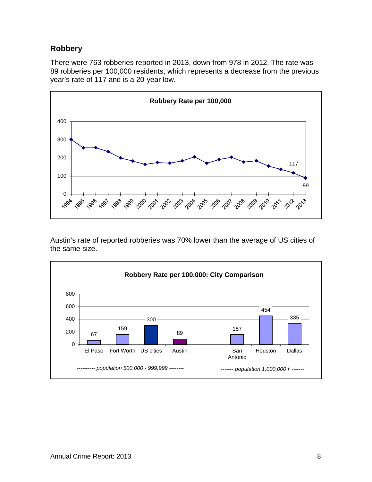#### <span id="page-10-0"></span>**Robbery**

There were 763 robberies reported in 2013, down from 978 in 2012. The rate was robberies per 100,000 residents, which represents a decrease from the previous year's rate of 117 and is a 20-year low.



Austin's rate of reported robberies was 70% lower than the average of US cities of the same size.

<span id="page-10-1"></span>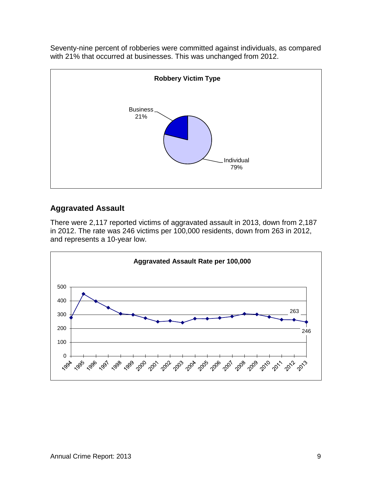Seventy-nine percent of robberies were committed against individuals, as compared with 21% that occurred at businesses. This was unchanged from 2012.



# **Aggravated Assault**

There were 2,117 reported victims of aggravated assault in 2013, down from 2,187 in 2012. The rate was 246 victims per 100,000 residents, down from 263 in 2012, and represents a 10-year low.

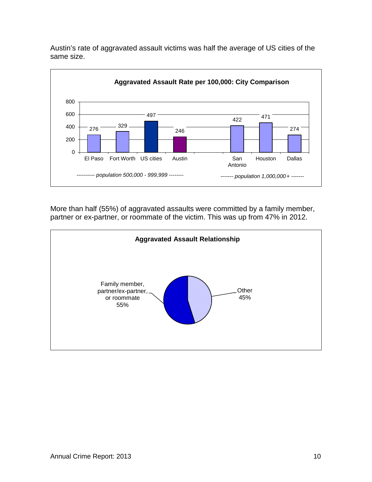



More than half (55%) of aggravated assaults were committed by a family member, partner or ex-partner, or roommate of the victim. This was up from 47% in 2012.

<span id="page-12-0"></span>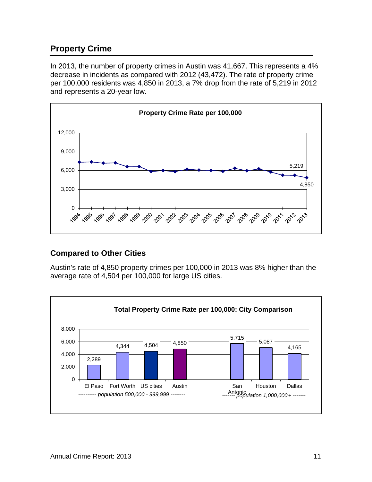# **Property Crime**

In 2013, the number of property crimes in Austin was 41,667. This represents a 4% decrease in incidents as compared with 2012 (43,472). The rate of property crime per 100,000 residents was 4,850 in 2013, a 7% drop from the rate of 5,219 in 2012 and represents a 20-year low.



#### <span id="page-13-0"></span>**Compared to Other Cities**

Austin's rate of 4,850 property crimes per 100,000 in 2013 was 8% higher than the average rate of 4,504 per 100,000 for large US cities.

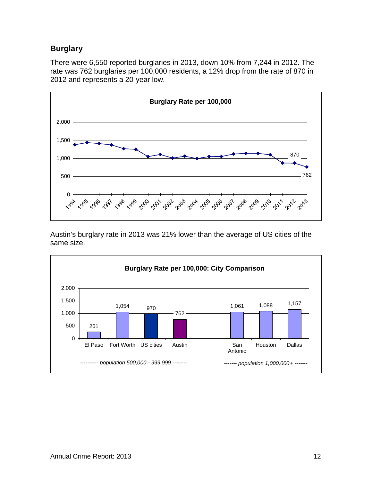# <span id="page-14-0"></span>**Burglary**

There were 6,550 reported burglaries in 2013, down 10% from 7,244 in 2012. The rate was 762 burglaries per 100,000 residents, a 12% drop from the rate of 870 in 2012 and represents a 20-year low.



Austin's burglary rate in 2013 was 21% lower than the average of US cities of the same size.

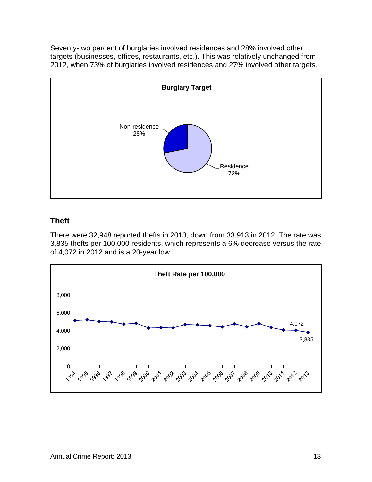Seventy-two percent of burglaries involved residences and 28% involved other targets (businesses, offices, restaurants, etc.). This was relatively unchanged from 2012, when 73% of burglaries involved residences and 27% involved other targets.



### <span id="page-15-0"></span>**Theft**

There were 32,948 reported thefts in 2013, down from 33,913 in 2012. The rate was 3,835 thefts per 100,000 residents, which represents a 6% decrease versus the rate of 4,072 in 2012 and is a 20-year low.

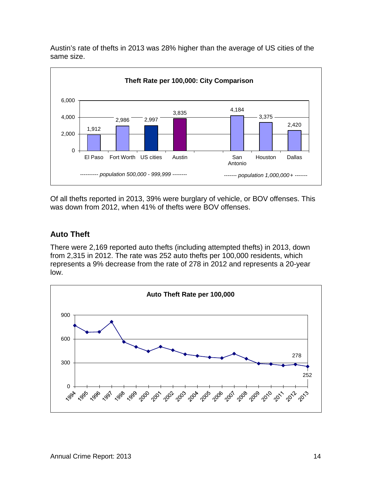Austin's rate of thefts in 2013 was 28% higher than the average of US cities of the same size.



Of all thefts reported in 2013, 39% were burglary of vehicle, or BOV offenses. This was down from 2012, when 41% of thefts were BOV offenses.

### <span id="page-16-0"></span>**Auto Theft**

There were 2,169 reported auto thefts (including attempted thefts) in 2013, down from 2,315 in 2012. The rate was 252 auto thefts per 100,000 residents, which represents a 9% decrease from the rate of 278 in 2012 and represents a 20-year low.

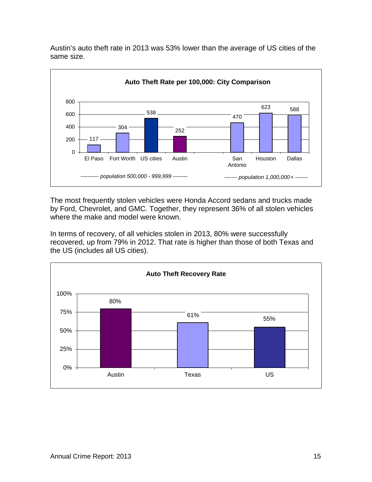Austin's auto theft rate in 2013 was 53% lower than the average of US cities of the same size.



The most frequently stolen vehicles were Honda Accord sedans and trucks made by Ford, Chevrolet, and GMC. Together, they represent 36% of all stolen vehicles where the make and model were known.

In terms of recovery, of all vehicles stolen in 2013, 80% were successfully recovered, up from 79% in 2012. That rate is higher than those of both Texas and the US (includes all US cities).

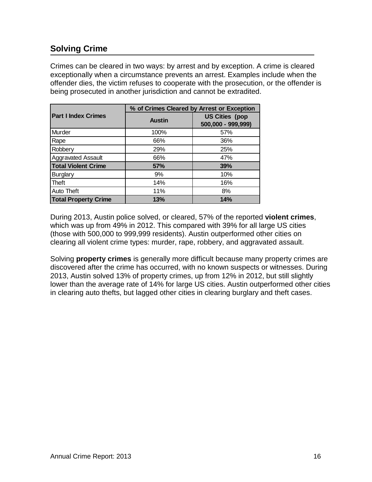# <span id="page-18-0"></span>**Solving Crime**

Crimes can be cleared in two ways: by arrest and by exception. A crime is cleared exceptionally when a circumstance prevents an arrest. Examples include when the offender dies, the victim refuses to cooperate with the prosecution, or the offender is being prosecuted in another jurisdiction and cannot be extradited.

|                             | % of Crimes Cleared by Arrest or Exception |                                             |  |  |  |  |
|-----------------------------|--------------------------------------------|---------------------------------------------|--|--|--|--|
| <b>Part I Index Crimes</b>  | <b>Austin</b>                              | <b>US Cities (pop</b><br>500,000 - 999,999) |  |  |  |  |
| Murder                      | 100%                                       | 57%                                         |  |  |  |  |
| Rape                        | 66%                                        | 36%                                         |  |  |  |  |
| Robbery                     | 29%                                        | 25%                                         |  |  |  |  |
| Aggravated Assault          | 66%                                        | 47%                                         |  |  |  |  |
| <b>Total Violent Crime</b>  | 57%                                        | 39%                                         |  |  |  |  |
| <b>Burglary</b>             | 9%                                         | 10%                                         |  |  |  |  |
| <b>Theft</b>                | 14%                                        | 16%                                         |  |  |  |  |
| Auto Theft                  | 11%                                        | 8%                                          |  |  |  |  |
| <b>Total Property Crime</b> | 13%                                        | 14%                                         |  |  |  |  |

During 2013, Austin police solved, or cleared, 57% of the reported **violent crimes**, which was up from 49% in 2012. This compared with 39% for all large US cities (those with 500,000 to 999,999 residents). Austin outperformed other cities on clearing all violent crime types: murder, rape, robbery, and aggravated assault.

<span id="page-18-1"></span>Solving **property crimes** is generally more difficult because many property crimes are discovered after the crime has occurred, with no known suspects or witnesses. During 2013, Austin solved 13% of property crimes, up from 12% in 2012, but still slightly lower than the average rate of 14% for large US cities. Austin outperformed other cities in clearing auto thefts, but lagged other cities in clearing burglary and theft cases.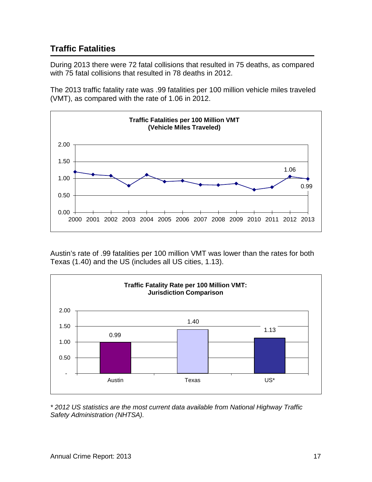# **Traffic Fatalities**

During 2013 there were 72 fatal collisions that resulted in 75 deaths, as compared with 75 fatal collisions that resulted in 78 deaths in 2012.

The 2013 traffic fatality rate was .99 fatalities per 100 million vehicle miles traveled (VMT), as compared with the rate of 1.06 in 2012.



Austin's rate of .99 fatalities per 100 million VMT was lower than the rates for both Texas (1.40) and the US (includes all US cities, 1.13).



*\* 2012 US statistics are the most current data available from National Highway Traffic Safety Administration (NHTSA).*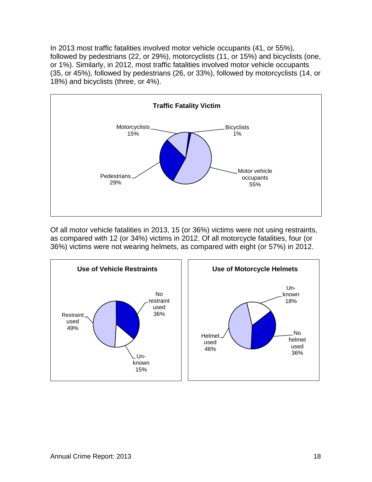In 2013 most traffic fatalities involved motor vehicle occupants (41, or 55%), followed by pedestrians (22, or 29%), motorcyclists (11, or 15%) and bicyclists (one, or 1%). Similarly, in 2012, most traffic fatalities involved motor vehicle occupants (35, or 45%), followed by pedestrians (26, or 33%), followed by motorcyclists (14, or 18%) and bicyclists (three, or 4%).



Of all motor vehicle fatalities in 2013, 15 (or 36%) victims were not using restraints, as compared with 12 (or 34%) victims in 2012. Of all motorcycle fatalities, four (or 36%) victims were not wearing helmets, as compared with eight (or 57%) in 2012.

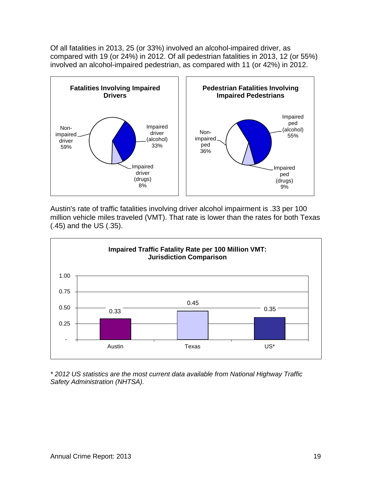Of all fatalities in 2013, 25 (or 33%) involved an alcohol-impaired driver, as compared with 19 (or 24%) in 2012. Of all pedestrian fatalities in 2013, 12 (or 55%) involved an alcohol-impaired pedestrian, as compared with 11 (or 42%) in 2012.



Austin's rate of traffic fatalities involving driver alcohol impairment is .33 per 100 million vehicle miles traveled (VMT). That rate is lower than the rates for both Texas (.45) and the US (.35).



*\* 2012 US statistics are the most current data available from National Highway Traffic Safety Administration (NHTSA).*